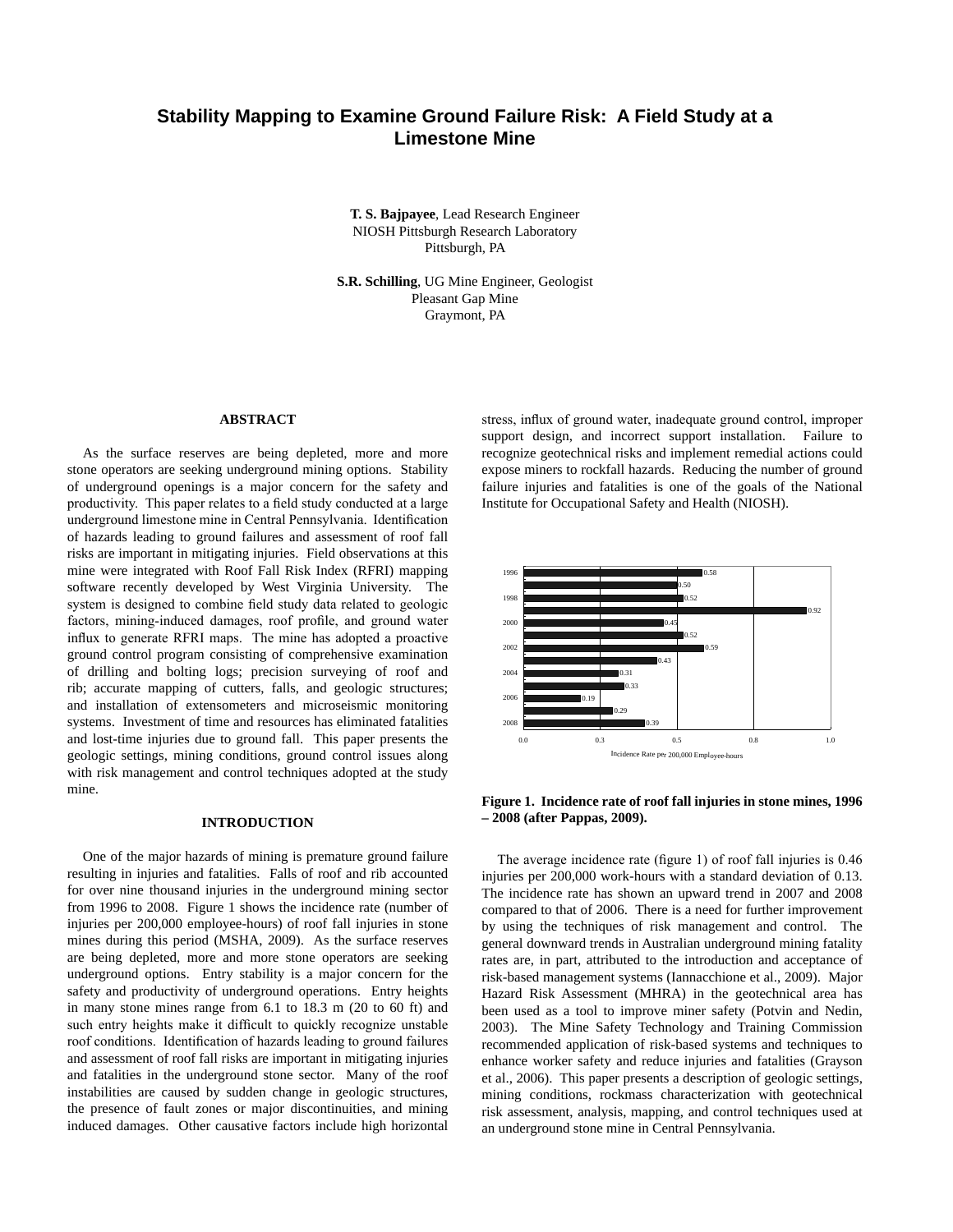# **Stability Mapping to Examine Ground Failure Risk: A Field Study at a Limestone Mine**

Bajpayee, T. **T. S. Bajpayee**, Lead Research Engineer Pittsburgh, PA NIOSH Pittsburgh Research Laboratory

**S.R. Schilling**, UG Mine Engineer, Geologist Pleasant Gap Mine Graymont, PA

#### **ABSTRACT**

As the surface reserves are being depleted, more and more stone operators are seeking underground mining options. Stability of underground openings is a major concern for the safety and productivity. This paper relates to a field study conducted at a large underground limestone mine in Central Pennsylvania. Identification of hazards leading to ground failures and assessment of roof fall risks are important in mitigating injuries. Field observations at this mine were integrated with Roof Fall Risk Index (RFRI) mapping software recently developed by West Virginia University. The system is designed to combine field study data related to geologic factors, mining-induced damages, roof profile, and ground water influx to generate RFRI maps. The mine has adopted a proactive ground control program consisting of comprehensive examination of drilling and bolting logs; precision surveying of roof and rib; accurate mapping of cutters, falls, and geologic structures; and installation of extensometers and microseismic monitoring systems. Investment of time and resources has eliminated fatalities and lost-time injuries due to ground fall. This paper presents the geologic settings, mining conditions, ground control issues along with risk management and control techniques adopted at the study mine.

### **INTRODUCTION**

One of the major hazards of mining is premature ground failure resulting in injuries and fatalities. Falls of roof and rib accounted for over nine thousand injuries in the underground mining sector from 1996 to 2008. Figure 1 shows the incidence rate (number of injuries per 200,000 employee-hours) of roof fall injuries in stone mines during this period (MSHA, 2009). As the surface reserves are being depleted, more and more stone operators are seeking underground options. Entry stability is a major concern for the safety and productivity of underground operations. Entry heights in many stone mines range from 6.1 to 18.3 m (20 to 60 ft) and such entry heights make it difficult to quickly recognize unstable roof conditions. Identification of hazards leading to ground failures and assessment of roof fall risks are important in mitigating injuries and fatalities in the underground stone sector. Many of the roof instabilities are caused by sudden change in geologic structures, the presence of fault zones or major discontinuities, and mining induced damages. Other causative factors include high horizontal stress, influx of ground water, inadequate ground control, improper support design, and incorrect support installation. Failure to recognize geotechnical risks and implement remedial actions could expose miners to rockfall hazards. Reducing the number of ground failure injuries and fatalities is one of the goals of the National Institute for Occupational Safety and Health (NIOSH).



**Figure 1. Incidence rate of roof fall injuries in stone mines, 1996 – 2008 (after Pappas, 2009).** 

The average incidence rate (figure 1) of roof fall injuries is 0.46 injuries per 200,000 work-hours with a standard deviation of 0.13. The incidence rate has shown an upward trend in 2007 and 2008 compared to that of 2006. There is a need for further improvement by using the techniques of risk management and control. The general downward trends in Australian underground mining fatality rates are, in part, attributed to the introduction and acceptance of risk‑based management systems (Iannacchione et al., 2009). Major Hazard Risk Assessment (MHRA) in the geotechnical area has been used as a tool to improve miner safety (Potvin and Nedin, 2003). The Mine Safety Technology and Training Commission recommended application of risk-based systems and techniques to enhance worker safety and reduce injuries and fatalities (Grayson et al., 2006). This paper presents a description of geologic settings, mining conditions, rockmass characterization with geotechnical risk assessment, analysis, mapping, and control techniques used at an underground stone mine in Central Pennsylvania.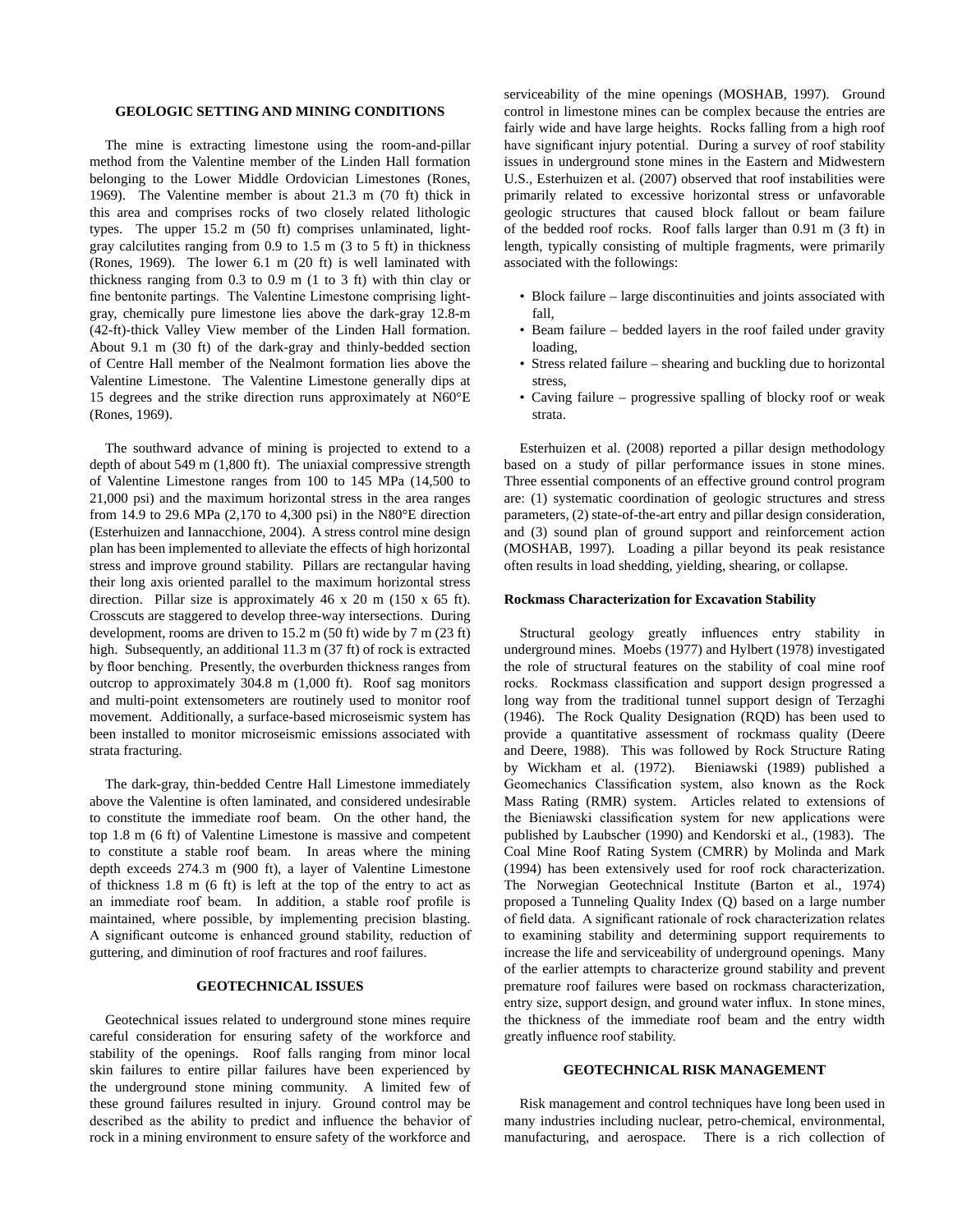#### **GEOLOGIC SETTING AND MINING CONDITIONS**

The mine is extracting limestone using the room-and-pillar method from the Valentine member of the Linden Hall formation belonging to the Lower Middle Ordovician Limestones (Rones, 1969). The Valentine member is about 21.3 m (70 ft) thick in this area and comprises rocks of two closely related lithologic types. The upper  $15.2 \text{ m}$  (50 ft) comprises unlaminated, lightgray calcilutites ranging from 0.9 to 1.5 m (3 to 5 ft) in thickness (Rones, 1969). The lower 6.1 m (20 ft) is well laminated with thickness ranging from 0.3 to 0.9 m (1 to 3 ft) with thin clay or fine bentonite partings. The Valentine Limestone comprising lightgray, chemically pure limestone lies above the dark‑gray 12.8‑m (42‑ft)‑thick Valley View member of the Linden Hall formation. About 9.1 m (30 ft) of the dark‑gray and thinly‑bedded section of Centre Hall member of the Nealmont formation lies above the Valentine Limestone. The Valentine Limestone generally dips at 15 degrees and the strike direction runs approximately at N60°E (Rones, 1969).

 (Esterhuizen and Iannacchione, 2004). A stress control mine design The southward advance of mining is projected to extend to a depth of about 549 m (1,800 ft). The uniaxial compressive strength of Valentine Limestone ranges from 100 to 145 MPa (14,500 to 21,000 psi) and the maximum horizontal stress in the area ranges from 14.9 to 29.6 MPa (2,170 to 4,300 psi) in the N80°E direction plan has been implemented to alleviate the effects of high horizontal stress and improve ground stability. Pillars are rectangular having their long axis oriented parallel to the maximum horizontal stress direction. Pillar size is approximately 46 x 20 m (150 x 65 ft). Crosscuts are staggered to develop three‑way intersections. During development, rooms are driven to 15.2 m (50 ft) wide by 7 m (23 ft) high. Subsequently, an additional 11.3 m (37 ft) of rock is extracted by floor benching. Presently, the overburden thickness ranges from outcrop to approximately 304.8 m (1,000 ft). Roof sag monitors and multi‑point extensometers are routinely used to monitor roof movement. Additionally, a surface-based microseismic system has been installed to monitor microseismic emissions associated with strata fracturing.

The dark‑gray, thin‑bedded Centre Hall Limestone immediately above the Valentine is often laminated, and considered undesirable to constitute the immediate roof beam. On the other hand, the top 1.8 m (6 ft) of Valentine Limestone is massive and competent to constitute a stable roof beam. In areas where the mining depth exceeds 274.3 m (900 ft), a layer of Valentine Limestone of thickness 1.8 m (6 ft) is left at the top of the entry to act as an immediate roof beam. In addition, a stable roof profile is maintained, where possible, by implementing precision blasting. A significant outcome is enhanced ground stability, reduction of guttering, and diminution of roof fractures and roof failures.

### **GEOTECHNICAL ISSUES**

 the underground stone mining community. A limited few of Geotechnical issues related to underground stone mines require careful consideration for ensuring safety of the workforce and stability of the openings. Roof falls ranging from minor local skin failures to entire pillar failures have been experienced by these ground failures resulted in injury. Ground control may be described as the ability to predict and influence the behavior of rock in a mining environment to ensure safety of the workforce and

serviceability of the mine openings (MOSHAB, 1997). Ground control in limestone mines can be complex because the entries are fairly wide and have large heights. Rocks falling from a high roof have significant injury potential. During a survey of roof stability issues in underground stone mines in the Eastern and Midwestern U.S., Esterhuizen et al. (2007) observed that roof instabilities were primarily related to excessive horizontal stress or unfavorable geologic structures that caused block fallout or beam failure of the bedded roof rocks. Roof falls larger than 0.91 m (3 ft) in length, typically consisting of multiple fragments, were primarily associated with the followings:

- Block failure large discontinuities and joints associated with fall,
- Beam failure bedded layers in the roof failed under gravity loading,
- Stress related failure shearing and buckling due to horizontal stress,
- Caving failure progressive spalling of blocky roof or weak strata.

Esterhuizen et al. (2008) reported a pillar design methodology based on a study of pillar performance issues in stone mines. Three essential components of an effective ground control program are: (1) systematic coordination of geologic structures and stress parameters, (2) state-of-the-art entry and pillar design consideration, and (3) sound plan of ground support and reinforcement action (MOSHAB, 1997). Loading a pillar beyond its peak resistance often results in load shedding, yielding, shearing, or collapse.

#### **Rockmass Characterization for Excavation Stability**

Structural geology greatly influences entry stability in underground mines. Moebs (1977) and Hylbert (1978) investigated the role of structural features on the stability of coal mine roof rocks. Rockmass classification and support design progressed a long way from the traditional tunnel support design of Terzaghi (1946). The Rock Quality Designation (RQD) has been used to provide a quantitative assessment of rockmass quality (Deere and Deere, 1988). This was followed by Rock Structure Rating by Wickham et al. (1972). Bieniawski (1989) published a Geomechanics Classification system, also known as the Rock Mass Rating (RMR) system. Articles related to extensions of the Bieniawski classification system for new applications were published by Laubscher (1990) and Kendorski et al., (1983). The Coal Mine Roof Rating System (CMRR) by Molinda and Mark (1994) has been extensively used for roof rock characterization. The Norwegian Geotechnical Institute (Barton et al., 1974) proposed a Tunneling Quality Index (Q) based on a large number of field data. A significant rationale of rock characterization relates to examining stability and determining support requirements to increase the life and serviceability of underground openings. Many of the earlier attempts to characterize ground stability and prevent premature roof failures were based on rockmass characterization, entry size, support design, and ground water influx. In stone mines, the thickness of the immediate roof beam and the entry width greatly influence roof stability.

#### **GEOTECHNICAL RISK MANAGEMENT**

Risk management and control techniques have long been used in many industries including nuclear, petro-chemical, environmental, manufacturing, and aerospace. There is a rich collection of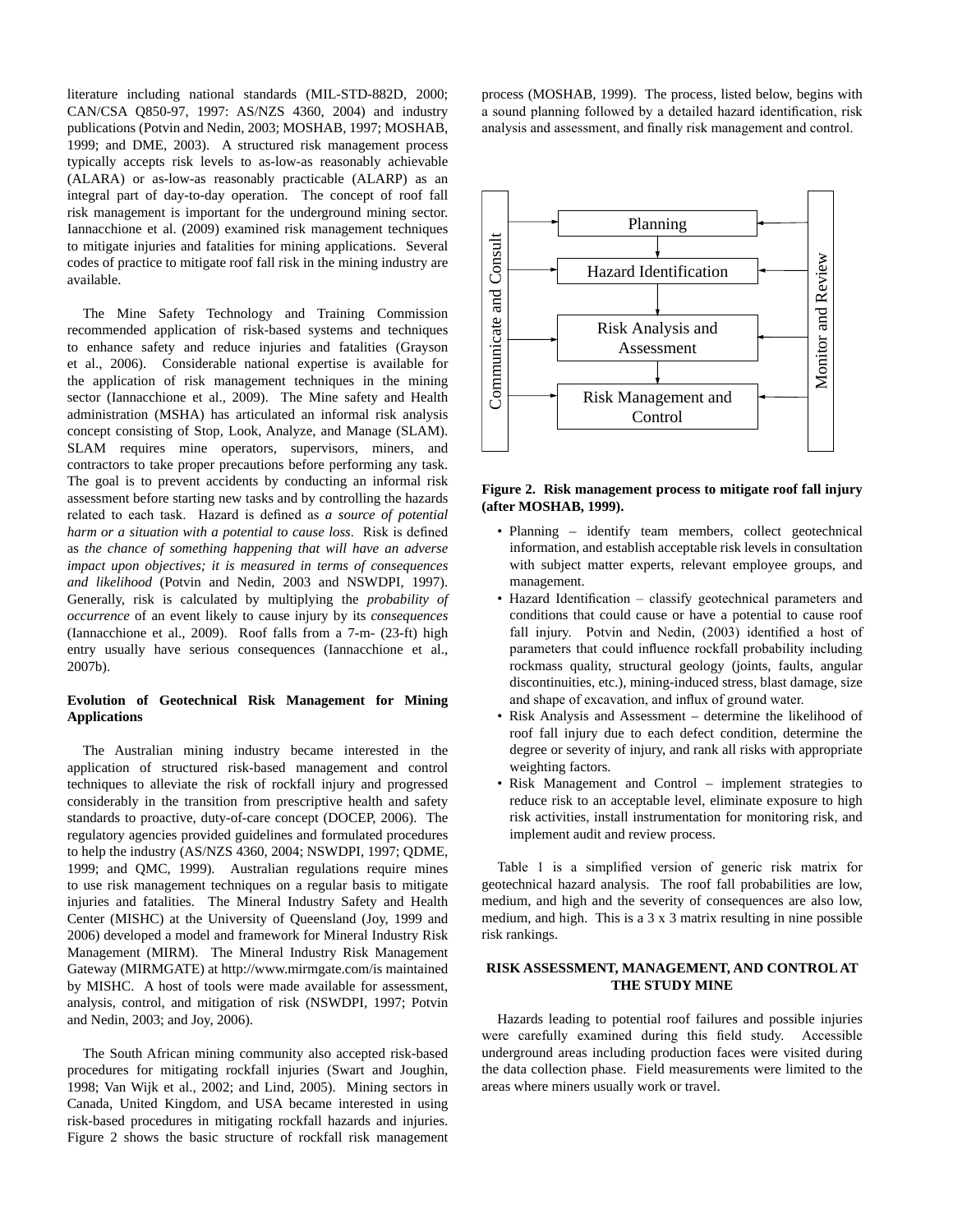literature including national standards (MIL-STD-882D, 2000; CAN/CSA Q850‑97, 1997: AS/NZS 4360, 2004) and industry publications (Potvin and Nedin, 2003; MOSHAB, 1997; MOSHAB, 1999; and DME, 2003). A structured risk management process typically accepts risk levels to as‑low‑as reasonably achievable (ALARA) or as‑low‑as reasonably practicable (ALARP) as an integral part of day-to-day operation. The concept of roof fall risk management is important for the underground mining sector. Iannacchione et al. (2009) examined risk management techniques to mitigate injuries and fatalities for mining applications. Several codes of practice to mitigate roof fall risk in the mining industry are available.

The Mine Safety Technology and Training Commission recommended application of risk‑based systems and techniques to enhance safety and reduce injuries and fatalities (Grayson et al., 2006). Considerable national expertise is available for the application of risk management techniques in the mining sector (Iannacchione et al., 2009). The Mine safety and Health administration (MSHA) has articulated an informal risk analysis concept consisting of Stop, Look, Analyze, and Manage (SLAM). SLAM requires mine operators, supervisors, miners, and contractors to take proper precautions before performing any task. The goal is to prevent accidents by conducting an informal risk assessment before starting new tasks and by controlling the hazards related to each task. Hazard is defined as *a source of potential harm or a situation with a potential to cause loss*. Risk is defined as *the chance of something happening that will have an adverse impact upon objectives; it is measured in terms of consequences and likelihood* (Potvin and Nedin, 2003 and NSWDPI, 1997). Generally, risk is calculated by multiplying the *probability of occurrence* of an event likely to cause injury by its *consequences*  (Iannacchione et al., 2009). Roof falls from a 7‑m‑ (23‑ft) high entry usually have serious consequences (Iannacchione et al., 2007b).

## **Evolution of Geotechnical Risk Management for Mining Applications**

The Australian mining industry became interested in the application of structured risk‑based management and control techniques to alleviate the risk of rockfall injury and progressed considerably in the transition from prescriptive health and safety standards to proactive, duty-of-care concept (DOCEP, 2006). The regulatory agencies provided guidelines and formulated procedures to help the industry (AS/NZS 4360, 2004; NSWDPI, 1997; QDME, 1999; and QMC, 1999). Australian regulations require mines to use risk management techniques on a regular basis to mitigate injuries and fatalities. The Mineral Industry Safety and Health Center (MISHC) at the University of Queensland (Joy, 1999 and 2006) developed a model and framework for Mineral Industry Risk Management (MIRM). The Mineral Industry Risk Management Gateway (MIRMGATE) at http://www.mirmgate.com/is maintained by MISHC. A host of tools were made available for assessment, analysis, control, and mitigation of risk (NSWDPI, 1997; Potvin and Nedin, 2003; and Joy, 2006).

The South African mining community also accepted risk-based procedures for mitigating rockfall injuries (Swart and Joughin, 1998; Van Wijk et al., 2002; and Lind, 2005). Mining sectors in Canada, United Kingdom, and USA became interested in using risk‑based procedures in mitigating rockfall hazards and injuries. Figure 2 shows the basic structure of rockfall risk management process (MOSHAB, 1999). The process, listed below, begins with a sound planning followed by a detailed hazard identification, risk analysis and assessment, and finally risk management and control.



## **Figure 2. Risk management process to mitigate roof fall injury (after MOSHAB, 1999).**

- Planning identify team members, collect geotechnical information, and establish acceptable risk levels in consultation with subject matter experts, relevant employee groups, and management.
- Hazard Identification classify geotechnical parameters and conditions that could cause or have a potential to cause roof fall injury. Potvin and Nedin, (2003) identified a host of parameters that could influence rockfall probability including rockmass quality, structural geology (joints, faults, angular discontinuities, etc.), mining‑induced stress, blast damage, size and shape of excavation, and influx of ground water.
- Risk Analysis and Assessment determine the likelihood of roof fall injury due to each defect condition, determine the degree or severity of injury, and rank all risks with appropriate weighting factors.
- Risk Management and Control implement strategies to reduce risk to an acceptable level, eliminate exposure to high risk activities, install instrumentation for monitoring risk, and implement audit and review process.

Table 1 is a simplified version of generic risk matrix for geotechnical hazard analysis. The roof fall probabilities are low, medium, and high and the severity of consequences are also low, medium, and high. This is a 3 x 3 matrix resulting in nine possible risk rankings.

## **RISK ASSESSMENT, MANAGEMENT, AND CONTROL AT THE STUDY MINE**

Hazards leading to potential roof failures and possible injuries were carefully examined during this field study. Accessible underground areas including production faces were visited during the data collection phase. Field measurements were limited to the areas where miners usually work or travel.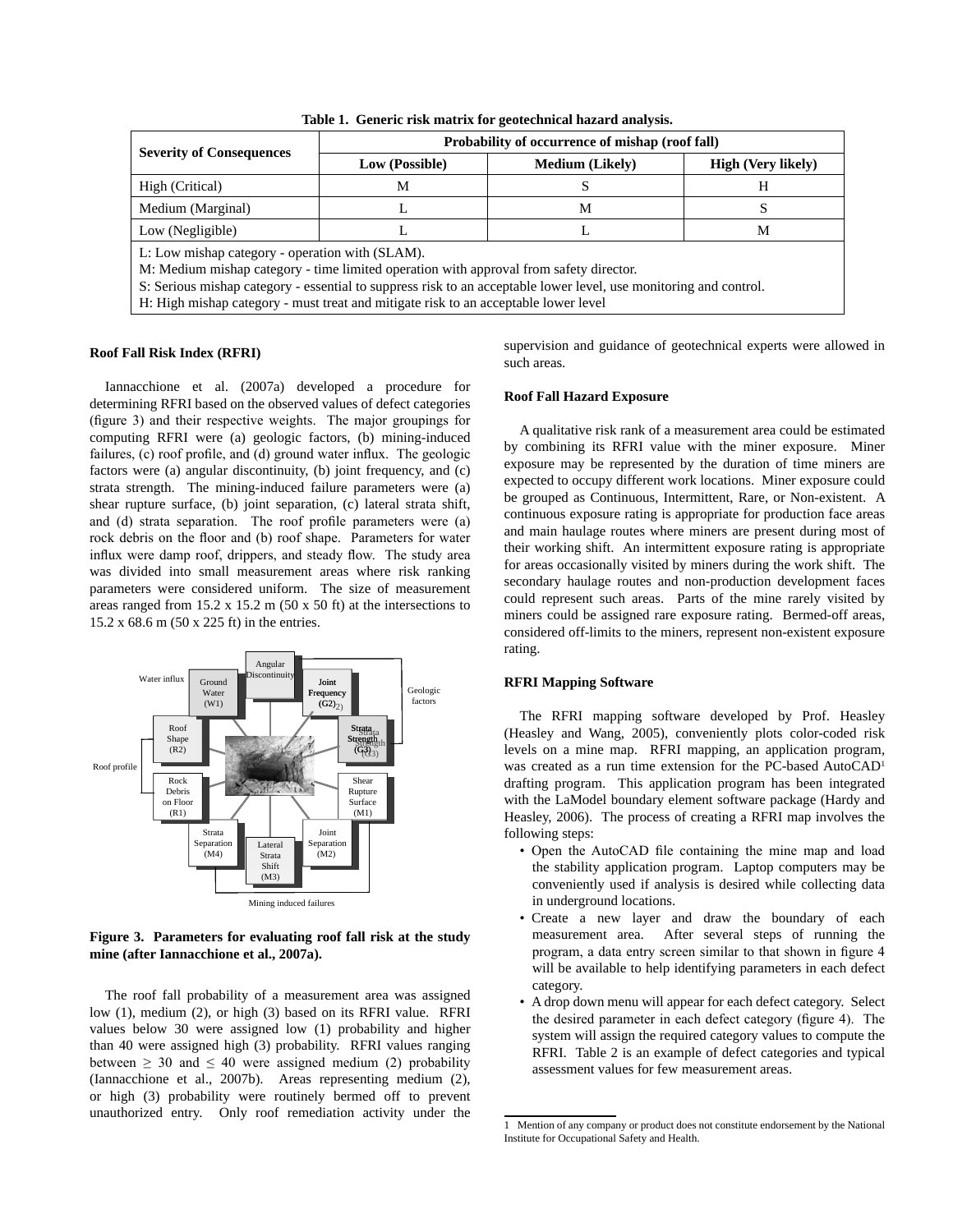|                                                                                                                                                                                                                                                                                                                                                       | Probability of occurrence of mishap (roof fall) |  |                           |  |  |  |
|-------------------------------------------------------------------------------------------------------------------------------------------------------------------------------------------------------------------------------------------------------------------------------------------------------------------------------------------------------|-------------------------------------------------|--|---------------------------|--|--|--|
| <b>Severity of Consequences</b>                                                                                                                                                                                                                                                                                                                       | <b>Medium</b> (Likely)<br>Low (Possible)        |  | <b>High (Very likely)</b> |  |  |  |
| High (Critical)                                                                                                                                                                                                                                                                                                                                       | М                                               |  | н                         |  |  |  |
| Medium (Marginal)                                                                                                                                                                                                                                                                                                                                     | М<br>L                                          |  |                           |  |  |  |
| Low (Negligible)                                                                                                                                                                                                                                                                                                                                      |                                                 |  | М                         |  |  |  |
| L: Low mishap category - operation with (SLAM).<br>M: Medium mishap category - time limited operation with approval from safety director.<br>S: Serious mishap category - essential to suppress risk to an acceptable lower level, use monitoring and control.<br>H: High mishap category - must treat and mitigate risk to an acceptable lower level |                                                 |  |                           |  |  |  |

**Table 1. Generic risk matrix for geotechnical hazard analysis.** 

#### **Roof Fall Risk Index (RFRI)**

Iannacchione et al. (2007a) developed a procedure for determining RFRI based on the observed values of defect categories (figure 3) and their respective weights. The major groupings for computing RFRI were (a) geologic factors, (b) mining‑induced failures, (c) roof profile, and (d) ground water influx. The geologic factors were (a) angular discontinuity, (b) joint frequency, and (c) strata strength. The mining‑induced failure parameters were (a) shear rupture surface, (b) joint separation, (c) lateral strata shift, and (d) strata separation. The roof profile parameters were (a) rock debris on the floor and (b) roof shape. Parameters for water influx were damp roof, drippers, and steady flow. The study area was divided into small measurement areas where risk ranking parameters were considered uniform. The size of measurement areas ranged from 15.2 x 15.2 m (50 x 50 ft) at the intersections to 15.2 x 68.6 m (50 x 225 ft) in the entries.



## **Figure 3. Parameters for evaluating roof fall risk at the study mine (after Iannacchione et al., 2007a).**

The roof fall probability of a measurement area was assigned low (1), medium (2), or high (3) based on its RFRI value. RFRI values below 30 were assigned low (1) probability and higher than 40 were assigned high (3) probability. RFRI values ranging between  $\geq$  30 and  $\leq$  40 were assigned medium (2) probability (Iannacchione et al., 2007b). Areas representing medium (2), or high (3) probability were routinely bermed off to prevent unauthorized entry. Only roof remediation activity under the supervision and guidance of geotechnical experts were allowed in such areas.

#### **Roof Fall Hazard Exposure**

A qualitative risk rank of a measurement area could be estimated by combining its RFRI value with the miner exposure. Miner exposure may be represented by the duration of time miners are expected to occupy different work locations. Miner exposure could be grouped as Continuous, Intermittent, Rare, or Non-existent. A continuous exposure rating is appropriate for production face areas and main haulage routes where miners are present during most of their working shift. An intermittent exposure rating is appropriate for areas occasionally visited by miners during the work shift. The secondary haulage routes and non-production development faces could represent such areas. Parts of the mine rarely visited by miners could be assigned rare exposure rating. Bermed-off areas, considered off-limits to the miners, represent non-existent exposure rating.

### **RFRI Mapping Software**

The RFRI mapping software developed by Prof. Heasley (Heasley and Wang, 2005), conveniently plots color-coded risk levels on a mine map. RFRI mapping, an application program, was created as a run time extension for the PC-based AutoCAD<sup>1</sup> drafting program. This application program has been integrated with the LaModel boundary element software package (Hardy and Heasley, 2006). The process of creating a RFRI map involves the following steps:

- Open the AutoCAD file containing the mine map and load the stability application program. Laptop computers may be conveniently used if analysis is desired while collecting data in underground locations.
- Create a new layer and draw the boundary of each measurement area. After several steps of running the program, a data entry screen similar to that shown in figure 4 will be available to help identifying parameters in each defect category.
- A drop down menu will appear for each defect category. Select the desired parameter in each defect category (figure 4). The system will assign the required category values to compute the RFRI. Table 2 is an example of defect categories and typical assessment values for few measurement areas.

<sup>1</sup> Mention of any company or product does not constitute endorsement by the National Institute for Occupational Safety and Health.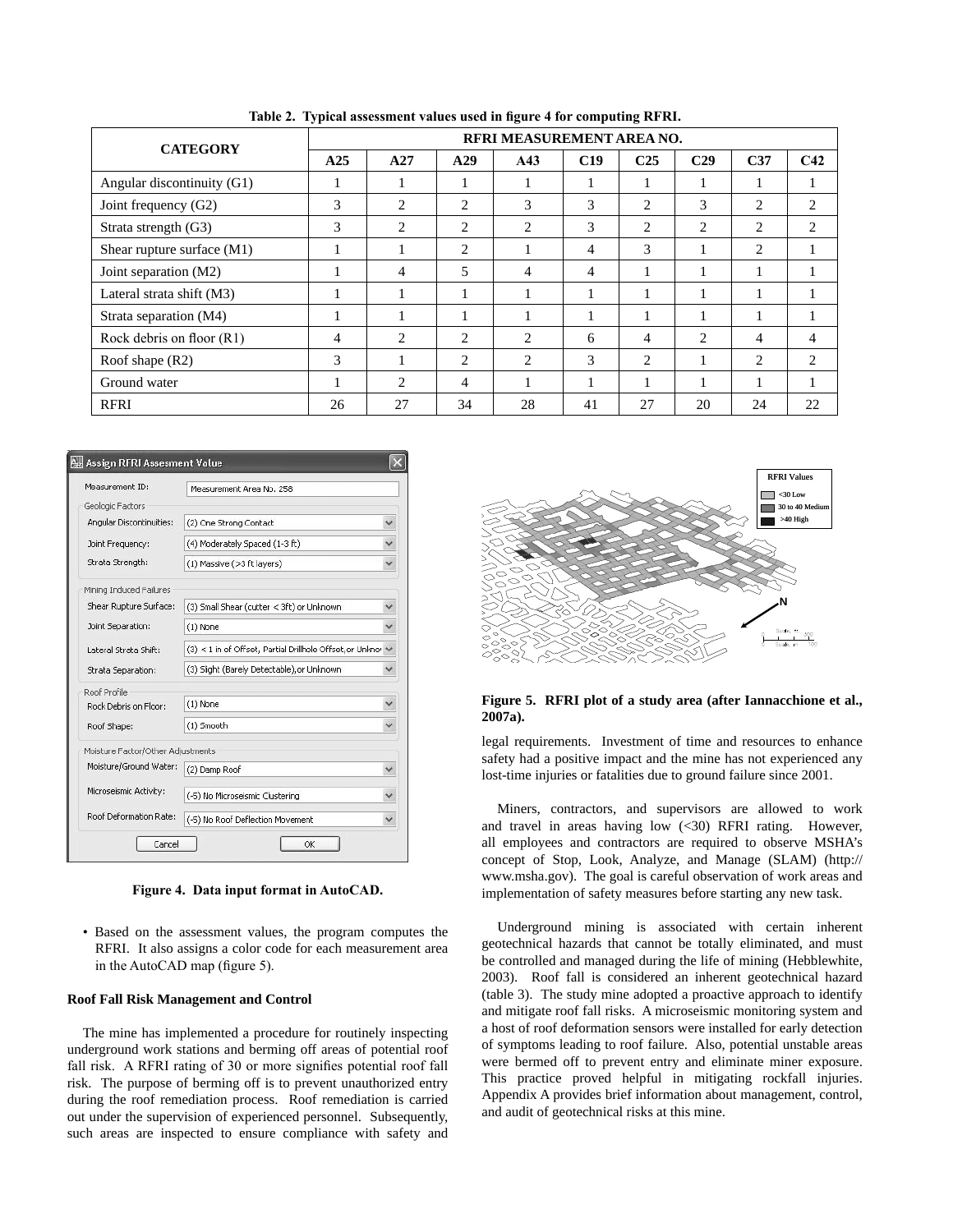| <b>CATEGORY</b>             | RFRI MEASUREMENT AREA NO. |                |                |                               |     |                 |                 |                 |                 |
|-----------------------------|---------------------------|----------------|----------------|-------------------------------|-----|-----------------|-----------------|-----------------|-----------------|
|                             | A25                       | A27            | A29            | A43                           | C19 | C <sub>25</sub> | C <sub>29</sub> | C <sub>37</sub> | C <sub>42</sub> |
| Angular discontinuity (G1)  |                           |                |                |                               |     |                 | л               |                 |                 |
| Joint frequency (G2)        | 3                         | $\overline{c}$ | $\overline{c}$ | 3                             | 3   | $\overline{c}$  | 3               | $\overline{c}$  | 2               |
| Strata strength (G3)        | 3                         | $\overline{c}$ | 2              | $\mathfrak{D}$                | 3   | $\overline{c}$  | 2               | 2               | ◠               |
| Shear rupture surface (M1)  |                           |                | $\overline{2}$ |                               | 4   | 3               |                 | $\overline{c}$  |                 |
| Joint separation (M2)       |                           | 4              | 5              | 4                             | 4   |                 | 1               |                 |                 |
| Lateral strata shift (M3)   |                           |                |                |                               |     |                 | 1               |                 |                 |
| Strata separation (M4)      | 1                         |                |                |                               |     |                 | 1               |                 |                 |
| Rock debris on floor $(R1)$ | 4                         | 2              | $\overline{c}$ | 2                             | 6   | 4               | 2               | 4               | 4               |
| Roof shape $(R2)$           | 3                         |                | $\overline{c}$ | $\mathfrak{D}_{\mathfrak{p}}$ | 3   | $\overline{c}$  | 1               | $\overline{c}$  | ↑               |
| Ground water                |                           | $\overline{c}$ | $\overline{4}$ |                               |     |                 | 1               |                 |                 |
| <b>RFRI</b>                 | 26                        | 27             | 34             | 28                            | 41  | 27              | 20              | 24              | 22              |

**Table 2. Typical assessment values used in figure 4 for computing RFRI.** 

| Measurement ID:                   | Measurement Area No. 258                                 |   |
|-----------------------------------|----------------------------------------------------------|---|
| Geologic Factors                  |                                                          |   |
| Angular Discontinuities:          | (2) One Strong Contact                                   |   |
| Joint Frequency:                  | (4) Moderately Spaced (1-3 ft)                           |   |
| Strata Strength:                  | (1) Massive (>3 ft layers)                               |   |
| Mining Induced Failures           |                                                          |   |
| Shear Rupture Surface:            | (3) Small Shear (cutter < 3ft) or Unknown                |   |
| Joint Separation:                 | $(1)$ None                                               |   |
| Lateral Strata Shift:             | (3) < 1 in of Offset, Partial Drillhole Offset, or Unkno | ٧ |
| Strata Separation:                | (3) Slight (Barely Detectable), or Unknown               |   |
| Roof Profile                      |                                                          |   |
| Rock Debris on Floor:             | $(1)$ None                                               |   |
| Roof Shape:                       | (1) Smooth                                               | v |
| Moisture Factor/Other Adjustments |                                                          |   |
| Moisture/Ground Water:            | (2) Damp Roof                                            |   |
| Microseismic Activity:            | (-5) No Microseismic Clustering                          |   |
| Roof Deformation Rate:            | (-5) No Roof Deflection Movement                         |   |

**Figure 4. Data input format in AutoCAD.** 

• Based on the assessment values, the program computes the RFRI. It also assigns a color code for each measurement area in the AutoCAD map (figure 5).

#### **Roof Fall Risk Management and Control**

The mine has implemented a procedure for routinely inspecting underground work stations and berming off areas of potential roof fall risk. A RFRI rating of 30 or more signifies potential roof fall risk. The purpose of berming off is to prevent unauthorized entry during the roof remediation process. Roof remediation is carried out under the supervision of experienced personnel. Subsequently, such areas are inspected to ensure compliance with safety and



#### **Figure 5. RFRI plot of a study area (after Iannacchione et al., 2007a).**

legal requirements. Investment of time and resources to enhance safety had a positive impact and the mine has not experienced any lost-time injuries or fatalities due to ground failure since 2001.

Miners, contractors, and supervisors are allowed to work and travel in areas having low (<30) RFRI rating. However, all employees and contractors are required to observe MSHA's concept of Stop, Look, Analyze, and Manage (SLAM) (http:// www.msha.gov). The goal is careful observation of work areas and implementation of safety measures before starting any new task.

Underground mining is associated with certain inherent geotechnical hazards that cannot be totally eliminated, and must be controlled and managed during the life of mining (Hebblewhite, 2003). Roof fall is considered an inherent geotechnical hazard (table 3). The study mine adopted a proactive approach to identify and mitigate roof fall risks. A microseismic monitoring system and a host of roof deformation sensors were installed for early detection of symptoms leading to roof failure. Also, potential unstable areas were bermed off to prevent entry and eliminate miner exposure. This practice proved helpful in mitigating rockfall injuries. Appendix A provides brief information about management, control, and audit of geotechnical risks at this mine.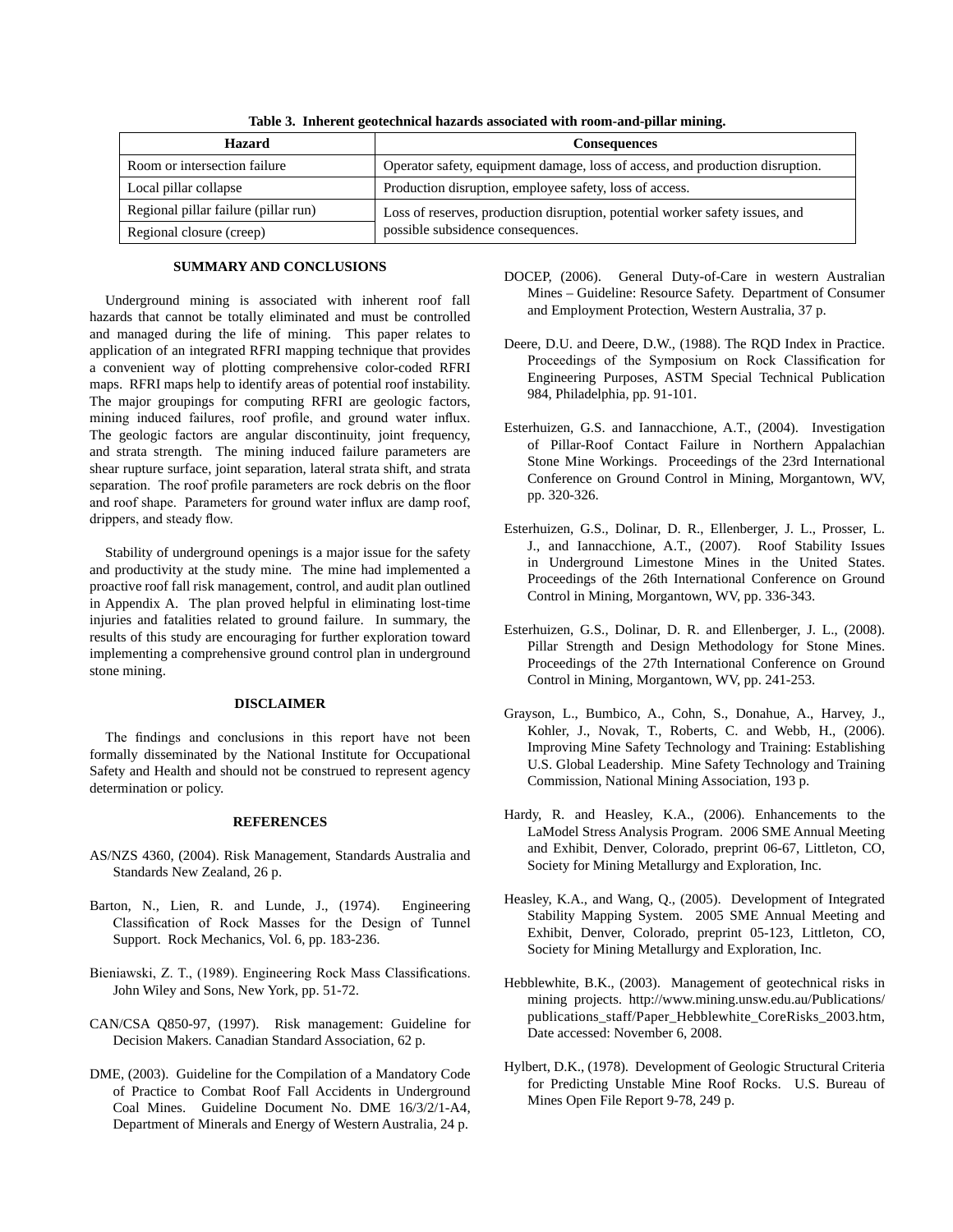| Hazard                               | <b>Consequences</b>                                                           |
|--------------------------------------|-------------------------------------------------------------------------------|
| Room or intersection failure         | Operator safety, equipment damage, loss of access, and production disruption. |
| Local pillar collapse                | Production disruption, employee safety, loss of access.                       |
| Regional pillar failure (pillar run) | Loss of reserves, production disruption, potential worker safety issues, and  |
| Regional closure (creep)             | possible subsidence consequences.                                             |

**Table 3. Inherent geotechnical hazards associated with room-and-pillar mining.** 

#### **SUMMARY AND CONCLUSIONS**

Underground mining is associated with inherent roof fall hazards that cannot be totally eliminated and must be controlled and managed during the life of mining. This paper relates to application of an integrated RFRI mapping technique that provides a convenient way of plotting comprehensive color-coded RFRI maps. RFRI maps help to identify areas of potential roof instability. The major groupings for computing RFRI are geologic factors, mining induced failures, roof profile, and ground water influx. The geologic factors are angular discontinuity, joint frequency, and strata strength. The mining induced failure parameters are shear rupture surface, joint separation, lateral strata shift, and strata separation. The roof profile parameters are rock debris on the floor and roof shape. Parameters for ground water influx are damp roof, drippers, and steady flow.

Stability of underground openings is a major issue for the safety and productivity at the study mine. The mine had implemented a proactive roof fall risk management, control, and audit plan outlined in Appendix A. The plan proved helpful in eliminating lost-time injuries and fatalities related to ground failure. In summary, the results of this study are encouraging for further exploration toward implementing a comprehensive ground control plan in underground stone mining.

## **DISCLAIMER**

The findings and conclusions in this report have not been formally disseminated by the National Institute for Occupational Safety and Health and should not be construed to represent agency determination or policy.

### **REFERENCES**

- AS/NZS 4360, (2004). Risk Management, Standards Australia and Standards New Zealand, 26 p.
- Barton, N., Lien, R. and Lunde, J., (1974). Engineering Classification of Rock Masses for the Design of Tunnel Support. Rock Mechanics, Vol. 6, pp. 183‑236.
- Bieniawski, Z. T., (1989). Engineering Rock Mass Classifications. John Wiley and Sons, New York, pp. 51‑72.
- CAN/CSA Q850‑97, (1997). Risk management: Guideline for Decision Makers. Canadian Standard Association, 62 p.
- DME, (2003). Guideline for the Compilation of a Mandatory Code of Practice to Combat Roof Fall Accidents in Underground Coal Mines. Guideline Document No. DME 16/3/2/1‑A4, Department of Minerals and Energy of Western Australia, 24 p.
- DOCEP, (2006). General Duty-of-Care in western Australian Mines – Guideline: Resource Safety. Department of Consumer and Employment Protection, Western Australia, 37 p.
- Deere, D.U. and Deere, D.W., (1988). The RQD Index in Practice. Proceedings of the Symposium on Rock Classification for Engineering Purposes, ASTM Special Technical Publication 984, Philadelphia, pp. 91‑101.
- Esterhuizen, G.S. and Iannacchione, A.T., (2004). Investigation of Pillar‑Roof Contact Failure in Northern Appalachian Stone Mine Workings. Proceedings of the 23rd International Conference on Ground Control in Mining, Morgantown, WV, pp. 320‑326.
- Esterhuizen, G.S., Dolinar, D. R., Ellenberger, J. L., Prosser, L. J., and Iannacchione, A.T., (2007). Roof Stability Issues in Underground Limestone Mines in the United States. Proceedings of the 26th International Conference on Ground Control in Mining, Morgantown, WV, pp. 336‑343.
- Esterhuizen, G.S., Dolinar, D. R. and Ellenberger, J. L., (2008). Pillar Strength and Design Methodology for Stone Mines. Proceedings of the 27th International Conference on Ground Control in Mining, Morgantown, WV, pp. 241‑253.
- Grayson, L., Bumbico, A., Cohn, S., Donahue, A., Harvey, J., Kohler, J., Novak, T., Roberts, C. and Webb, H., (2006). Improving Mine Safety Technology and Training: Establishing U.S. Global Leadership. Mine Safety Technology and Training Commission, National Mining Association, 193 p.
- Hardy, R. and Heasley, K.A., (2006). Enhancements to the LaModel Stress Analysis Program. 2006 SME Annual Meeting and Exhibit, Denver, Colorado, preprint 06‑67, Littleton, CO, Society for Mining Metallurgy and Exploration, Inc.
- Heasley, K.A., and Wang, Q., (2005). Development of Integrated Stability Mapping System. 2005 SME Annual Meeting and Exhibit, Denver, Colorado, preprint 05‑123, Littleton, CO, Society for Mining Metallurgy and Exploration, Inc.
- Hebblewhite, B.K., (2003). Management of geotechnical risks in mining projects. http://www.mining.unsw.edu.au/Publications/ publications\_staff/Paper\_Hebblewhite\_CoreRisks\_2003.htm, Date accessed: November 6, 2008.
- Hylbert, D.K., (1978). Development of Geologic Structural Criteria for Predicting Unstable Mine Roof Rocks. U.S. Bureau of Mines Open File Report 9-78, 249 p.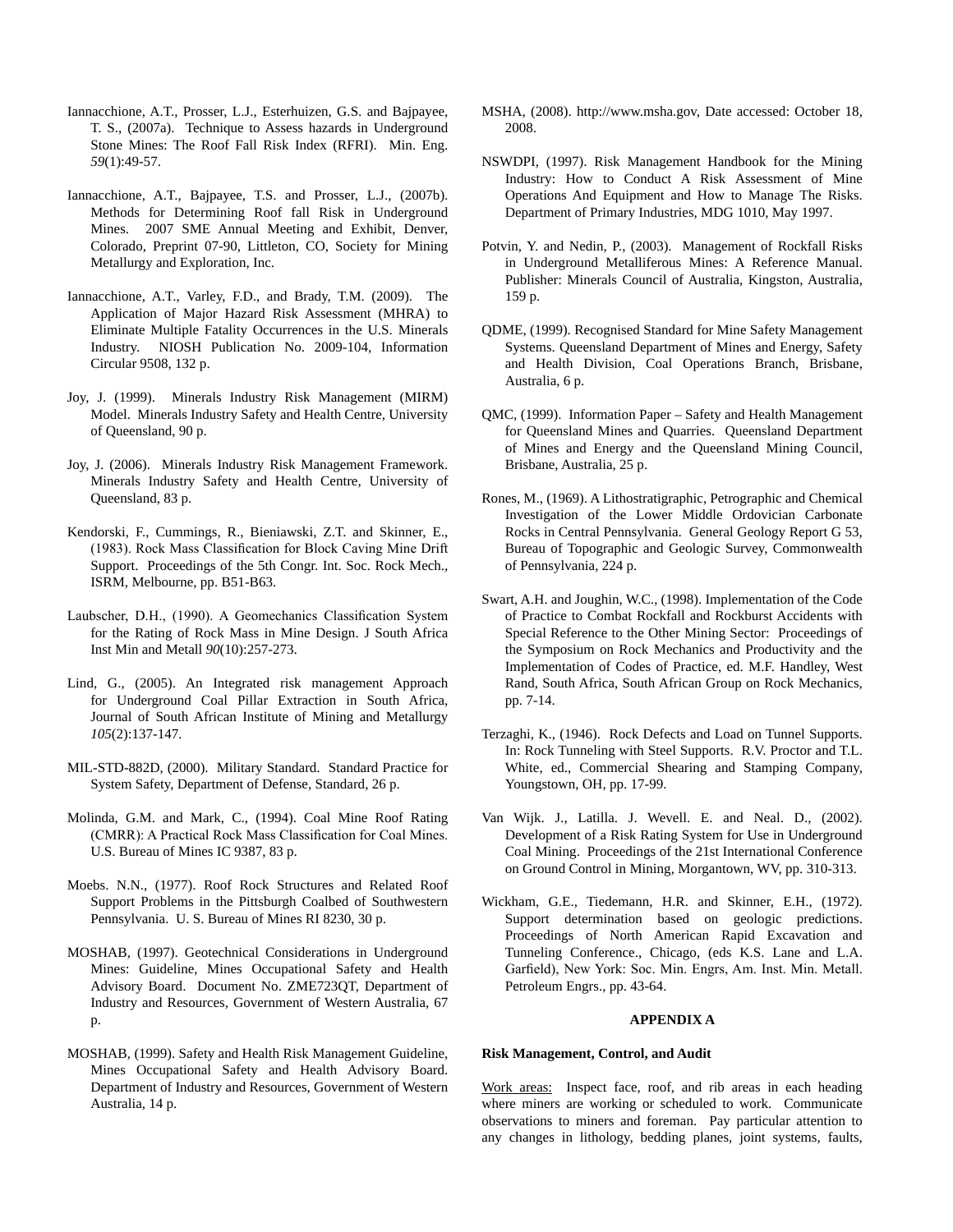- Iannacchione, A.T., Prosser, L.J., Esterhuizen, G.S. and Bajpayee, T. S., (2007a). Technique to Assess hazards in Underground Stone Mines: The Roof Fall Risk Index (RFRI). Min. Eng. *59*(1):49‑57.
- Iannacchione, A.T., Bajpayee, T.S. and Prosser, L.J., (2007b). Methods for Determining Roof fall Risk in Underground Mines. 2007 SME Annual Meeting and Exhibit, Denver, Colorado, Preprint 07‑90, Littleton, CO, Society for Mining Metallurgy and Exploration, Inc.
- Iannacchione, A.T., Varley, F.D., and Brady, T.M. (2009). The Application of Major Hazard Risk Assessment (MHRA) to Eliminate Multiple Fatality Occurrences in the U.S. Minerals Industry. NIOSH Publication No. 2009‑104, Information Circular 9508, 132 p.
- Joy, J. (1999). Minerals Industry Risk Management (MIRM) Model. Minerals Industry Safety and Health Centre, University of Queensland, 90 p.
- Joy, J. (2006). Minerals Industry Risk Management Framework. Minerals Industry Safety and Health Centre, University of Queensland, 83 p.
- Kendorski, F., Cummings, R., Bieniawski, Z.T. and Skinner, E., (1983). Rock Mass Classification for Block Caving Mine Drift Support. Proceedings of the 5th Congr. Int. Soc. Rock Mech., ISRM, Melbourne, pp. B51‑B63.
- Laubscher, D.H., (1990). A Geomechanics Classification System for the Rating of Rock Mass in Mine Design. J South Africa Inst Min and Metall *90*(10):257‑273.
- Lind, G., (2005). An Integrated risk management Approach for Underground Coal Pillar Extraction in South Africa, Journal of South African Institute of Mining and Metallurgy *105*(2):137‑147.
- MIL‑STD‑882D, (2000). Military Standard. Standard Practice for System Safety, Department of Defense, Standard, 26 p.
- Molinda, G.M. and Mark, C., (1994). Coal Mine Roof Rating (CMRR): A Practical Rock Mass Classification for Coal Mines. U.S. Bureau of Mines IC 9387, 83 p.
- Moebs. N.N., (1977). Roof Rock Structures and Related Roof Support Problems in the Pittsburgh Coalbed of Southwestern Pennsylvania. U. S. Bureau of Mines RI 8230, 30 p.
- MOSHAB, (1997). Geotechnical Considerations in Underground Mines: Guideline, Mines Occupational Safety and Health Advisory Board. Document No. ZME723QT, Department of Industry and Resources, Government of Western Australia, 67 p.
- MOSHAB, (1999). Safety and Health Risk Management Guideline, Mines Occupational Safety and Health Advisory Board. Department of Industry and Resources, Government of Western Australia, 14 p.
- MSHA, (2008). http://www.msha.gov, Date accessed: October 18, 2008.
- NSWDPI, (1997). Risk Management Handbook for the Mining Industry: How to Conduct A Risk Assessment of Mine Operations And Equipment and How to Manage The Risks. Department of Primary Industries, MDG 1010, May 1997.
- Potvin, Y. and Nedin, P., (2003). Management of Rockfall Risks in Underground Metalliferous Mines: A Reference Manual. Publisher: Minerals Council of Australia, Kingston, Australia, 159 p.
- QDME, (1999). Recognised Standard for Mine Safety Management Systems. Queensland Department of Mines and Energy, Safety and Health Division, Coal Operations Branch, Brisbane, Australia, 6 p.
- QMC, (1999). Information Paper Safety and Health Management for Queensland Mines and Quarries. Queensland Department of Mines and Energy and the Queensland Mining Council, Brisbane, Australia, 25 p.
- Rones, M., (1969). A Lithostratigraphic, Petrographic and Chemical Investigation of the Lower Middle Ordovician Carbonate Rocks in Central Pennsylvania. General Geology Report G 53, Bureau of Topographic and Geologic Survey, Commonwealth of Pennsylvania, 224 p.
- Swart, A.H. and Joughin, W.C., (1998). Implementation of the Code of Practice to Combat Rockfall and Rockburst Accidents with Special Reference to the Other Mining Sector: Proceedings of the Symposium on Rock Mechanics and Productivity and the Implementation of Codes of Practice, ed. M.F. Handley, West Rand, South Africa, South African Group on Rock Mechanics, pp. 7‑14.
- Terzaghi, K., (1946). Rock Defects and Load on Tunnel Supports. In: Rock Tunneling with Steel Supports. R.V. Proctor and T.L. White, ed., Commercial Shearing and Stamping Company, Youngstown, OH, pp. 17‑99.
- Van Wijk. J., Latilla. J. Wevell. E. and Neal. D., (2002). Development of a Risk Rating System for Use in Underground Coal Mining. Proceedings of the 21st International Conference on Ground Control in Mining, Morgantown, WV, pp. 310‑313.
- Wickham, G.E., Tiedemann, H.R. and Skinner, E.H., (1972). Support determination based on geologic predictions. Proceedings of North American Rapid Excavation and Tunneling Conference., Chicago, (eds K.S. Lane and L.A. Garfield), New York: Soc. Min. Engrs, Am. Inst. Min. Metall. Petroleum Engrs., pp. 43‑64.

## **APPENDIX A**

## **Risk Management, Control, and Audit**

Work areas: Inspect face, roof, and rib areas in each heading where miners are working or scheduled to work. Communicate observations to miners and foreman. Pay particular attention to any changes in lithology, bedding planes, joint systems, faults,